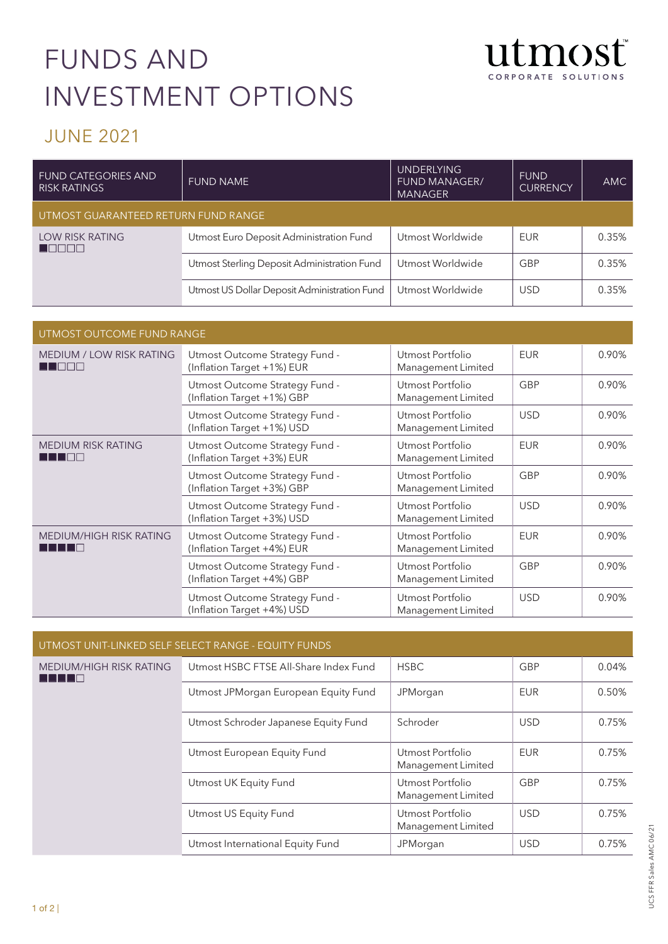## FUNDS AND INVESTMENT OPTIONS



## JUNE 2021

| <b>FUND CATEGORIES AND</b><br><b>RISK RATINGS</b> | <b>FUND NAME</b>                             | <b>UNDERLYING</b><br><b>FUND MANAGER/</b><br><b>MANAGER</b> | <b>FUND</b><br><b>CURRENCY</b> | AMC.  |  |
|---------------------------------------------------|----------------------------------------------|-------------------------------------------------------------|--------------------------------|-------|--|
| UTMOST GUARANTEED RETURN FUND RANGE               |                                              |                                                             |                                |       |  |
| <b>LOW RISK RATING</b><br><b>REFER</b>            | Utmost Euro Deposit Administration Fund      | Utmost Worldwide                                            | EUR                            | 0.35% |  |
|                                                   | Utmost Sterling Deposit Administration Fund  | Utmost Worldwide                                            | GBP                            | 0.35% |  |
|                                                   | Utmost US Dollar Deposit Administration Fund | Utmost Worldwide                                            | <b>USD</b>                     | 0.35% |  |

| UTMOST OUTCOME FUND RANGE                                      |                                                              |                                        |            |       |  |
|----------------------------------------------------------------|--------------------------------------------------------------|----------------------------------------|------------|-------|--|
| <b>MEDIUM / LOW RISK RATING</b><br>$\blacksquare$ in in<br>- 1 | Utmost Outcome Strategy Fund -<br>(Inflation Target +1%) EUR | Utmost Portfolio<br>Management Limited | <b>EUR</b> | 0.90% |  |
|                                                                | Utmost Outcome Strategy Fund -<br>(Inflation Target +1%) GBP | Utmost Portfolio<br>Management Limited | GBP        | 0.90% |  |
|                                                                | Utmost Outcome Strategy Fund -<br>(Inflation Target +1%) USD | Utmost Portfolio<br>Management Limited | <b>USD</b> | 0.90% |  |
| <b>MEDIUM RISK RATING</b><br>T 1 66                            | Utmost Outcome Strategy Fund -<br>(Inflation Target +3%) EUR | Utmost Portfolio<br>Management Limited | <b>EUR</b> | 0.90% |  |
|                                                                | Utmost Outcome Strategy Fund -<br>(Inflation Target +3%) GBP | Utmost Portfolio<br>Management Limited | GBP        | 0.90% |  |
|                                                                | Utmost Outcome Strategy Fund -<br>(Inflation Target +3%) USD | Utmost Portfolio<br>Management Limited | <b>USD</b> | 0.90% |  |
| MEDIUM/HIGH RISK RATING<br>I I I∎                              | Utmost Outcome Strategy Fund -<br>(Inflation Target +4%) EUR | Utmost Portfolio<br>Management Limited | <b>EUR</b> | 0.90% |  |
|                                                                | Utmost Outcome Strategy Fund -<br>(Inflation Target +4%) GBP | Utmost Portfolio<br>Management Limited | GBP        | 0.90% |  |
|                                                                | Utmost Outcome Strategy Fund -<br>(Inflation Target +4%) USD | Utmost Portfolio<br>Management Limited | <b>USD</b> | 0.90% |  |

| UTMOST UNIT-LINKED SELF SELECT RANGE - EQUITY FUNDS |                                       |                                        |            |       |  |
|-----------------------------------------------------|---------------------------------------|----------------------------------------|------------|-------|--|
| MEDIUM/HIGH RISK RATING<br>I I I I                  | Utmost HSBC FTSE All-Share Index Fund | <b>HSBC</b>                            | <b>GBP</b> | 0.04% |  |
|                                                     | Utmost JPMorgan European Equity Fund  | JPMorgan                               | <b>EUR</b> | 0.50% |  |
|                                                     | Utmost Schroder Japanese Equity Fund  | Schroder                               | <b>USD</b> | 0.75% |  |
|                                                     | Utmost European Equity Fund           | Utmost Portfolio<br>Management Limited | <b>EUR</b> | 0.75% |  |
|                                                     | Utmost UK Equity Fund                 | Utmost Portfolio<br>Management Limited | <b>GBP</b> | 0.75% |  |
|                                                     | Utmost US Equity Fund                 | Utmost Portfolio<br>Management Limited | <b>USD</b> | 0.75% |  |
|                                                     | Utmost International Equity Fund      | JPMorgan                               | <b>USD</b> | 0.75% |  |